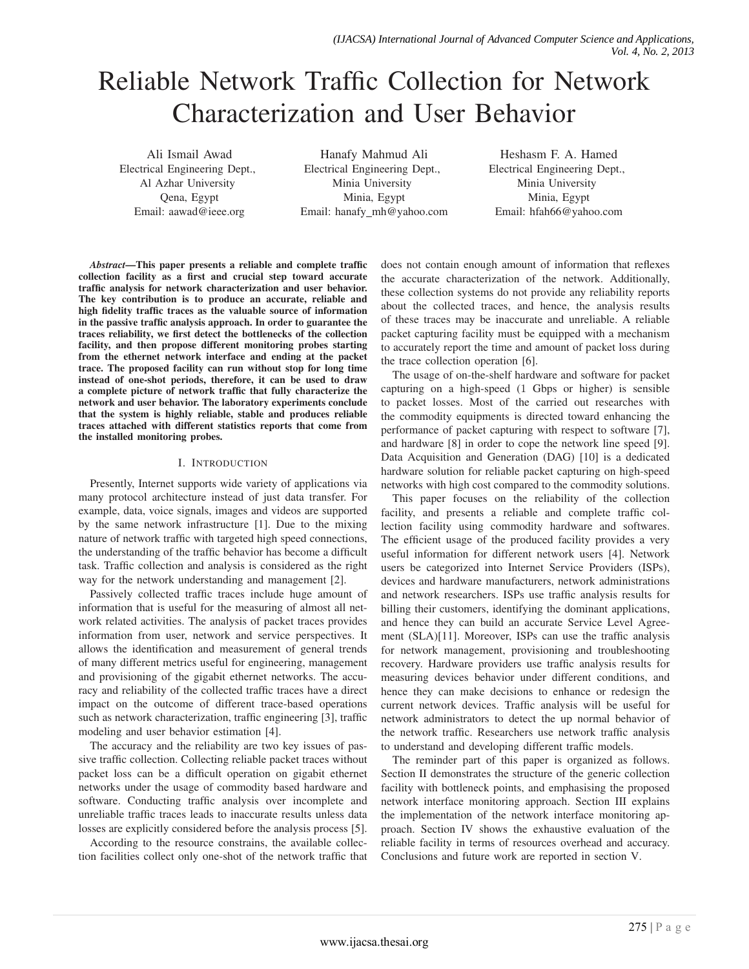# Reliable Network Traffic Collection for Network Characterization and User Behavior

Ali Ismail Awad Electrical Engineering Dept., Al Azhar University Qena, Egypt Email: aawad@ieee.org

Hanafy Mahmud Ali Electrical Engineering Dept., Minia University Minia, Egypt Email: hanafy\_mh@yahoo.com

Heshasm F. A. Hamed Electrical Engineering Dept., Minia University Minia, Egypt Email: hfah66@yahoo.com

*Abstract*—This paper presents a reliable and complete traffic collection facility as a first and crucial step toward accurate traffic analysis for network characterization and user behavior. The key contribution is to produce an accurate, reliable and high fidelity traffic traces as the valuable source of information in the passive traffic analysis approach. In order to guarantee the traces reliability, we first detect the bottlenecks of the collection facility, and then propose different monitoring probes starting from the ethernet network interface and ending at the packet trace. The proposed facility can run without stop for long time instead of one-shot periods, therefore, it can be used to draw a complete picture of network traffic that fully characterize the network and user behavior. The laboratory experiments conclude that the system is highly reliable, stable and produces reliable traces attached with different statistics reports that come from the installed monitoring probes.

## I. INTRODUCTION

Presently, Internet supports wide variety of applications via many protocol architecture instead of just data transfer. For example, data, voice signals, images and videos are supported by the same network infrastructure [1]. Due to the mixing nature of network traffic with targeted high speed connections, the understanding of the traffic behavior has become a difficult task. Traffic collection and analysis is considered as the right way for the network understanding and management [2].

Passively collected traffic traces include huge amount of information that is useful for the measuring of almost all network related activities. The analysis of packet traces provides information from user, network and service perspectives. It allows the identification and measurement of general trends of many different metrics useful for engineering, management and provisioning of the gigabit ethernet networks. The accuracy and reliability of the collected traffic traces have a direct impact on the outcome of different trace-based operations such as network characterization, traffic engineering [3], traffic modeling and user behavior estimation [4].

The accuracy and the reliability are two key issues of passive traffic collection. Collecting reliable packet traces without packet loss can be a difficult operation on gigabit ethernet networks under the usage of commodity based hardware and software. Conducting traffic analysis over incomplete and unreliable traffic traces leads to inaccurate results unless data losses are explicitly considered before the analysis process [5].

According to the resource constrains, the available collection facilities collect only one-shot of the network traffic that does not contain enough amount of information that reflexes the accurate characterization of the network. Additionally, these collection systems do not provide any reliability reports about the collected traces, and hence, the analysis results of these traces may be inaccurate and unreliable. A reliable packet capturing facility must be equipped with a mechanism to accurately report the time and amount of packet loss during the trace collection operation [6].

The usage of on-the-shelf hardware and software for packet capturing on a high-speed (1 Gbps or higher) is sensible to packet losses. Most of the carried out researches with the commodity equipments is directed toward enhancing the performance of packet capturing with respect to software [7], and hardware [8] in order to cope the network line speed [9]. Data Acquisition and Generation (DAG) [10] is a dedicated hardware solution for reliable packet capturing on high-speed networks with high cost compared to the commodity solutions.

This paper focuses on the reliability of the collection facility, and presents a reliable and complete traffic collection facility using commodity hardware and softwares. The efficient usage of the produced facility provides a very useful information for different network users [4]. Network users be categorized into Internet Service Providers (ISPs), devices and hardware manufacturers, network administrations and network researchers. ISPs use traffic analysis results for billing their customers, identifying the dominant applications, and hence they can build an accurate Service Level Agreement (SLA)[11]. Moreover, ISPs can use the traffic analysis for network management, provisioning and troubleshooting recovery. Hardware providers use traffic analysis results for measuring devices behavior under different conditions, and hence they can make decisions to enhance or redesign the current network devices. Traffic analysis will be useful for network administrators to detect the up normal behavior of the network traffic. Researchers use network traffic analysis to understand and developing different traffic models.

The reminder part of this paper is organized as follows. Section II demonstrates the structure of the generic collection facility with bottleneck points, and emphasising the proposed network interface monitoring approach. Section III explains the implementation of the network interface monitoring approach. Section IV shows the exhaustive evaluation of the reliable facility in terms of resources overhead and accuracy. Conclusions and future work are reported in section V.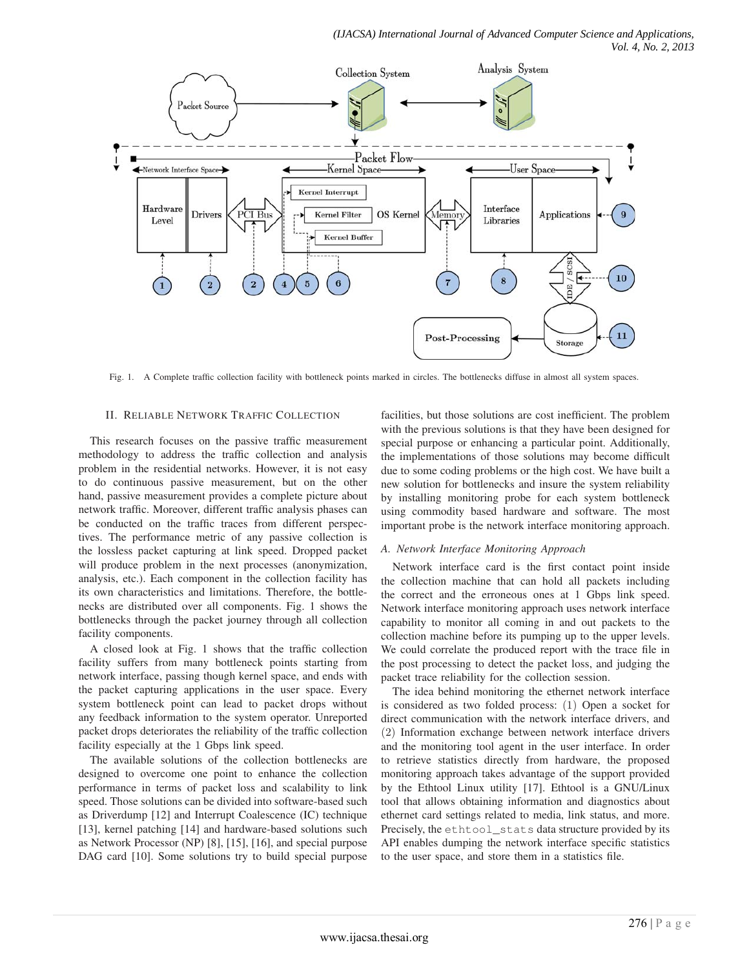*(IJACSA) International Journal of Advanced Computer Science and Applications, Vol. 4, No. 2, 2013*



Fig. 1. A Complete traffic collection facility with bottleneck points marked in circles. The bottlenecks diffuse in almost all system spaces.

#### II. RELIABLE NETWORK TRAFFIC COLLECTION

This research focuses on the passive traffic measurement methodology to address the traffic collection and analysis problem in the residential networks. However, it is not easy to do continuous passive measurement, but on the other hand, passive measurement provides a complete picture about network traffic. Moreover, different traffic analysis phases can be conducted on the traffic traces from different perspectives. The performance metric of any passive collection is the lossless packet capturing at link speed. Dropped packet will produce problem in the next processes (anonymization, analysis, etc.). Each component in the collection facility has its own characteristics and limitations. Therefore, the bottlenecks are distributed over all components. Fig. 1 shows the bottlenecks through the packet journey through all collection facility components.

A closed look at Fig. 1 shows that the traffic collection facility suffers from many bottleneck points starting from network interface, passing though kernel space, and ends with the packet capturing applications in the user space. Every system bottleneck point can lead to packet drops without any feedback information to the system operator. Unreported packet drops deteriorates the reliability of the traffic collection facility especially at the 1 Gbps link speed.

The available solutions of the collection bottlenecks are designed to overcome one point to enhance the collection performance in terms of packet loss and scalability to link speed. Those solutions can be divided into software-based such as Driverdump [12] and Interrupt Coalescence (IC) technique [13], kernel patching [14] and hardware-based solutions such as Network Processor (NP) [8], [15], [16], and special purpose DAG card [10]. Some solutions try to build special purpose

facilities, but those solutions are cost inefficient. The problem with the previous solutions is that they have been designed for special purpose or enhancing a particular point. Additionally, the implementations of those solutions may become difficult due to some coding problems or the high cost. We have built a new solution for bottlenecks and insure the system reliability by installing monitoring probe for each system bottleneck using commodity based hardware and software. The most important probe is the network interface monitoring approach.

#### *A. Network Interface Monitoring Approach*

Network interface card is the first contact point inside the collection machine that can hold all packets including the correct and the erroneous ones at 1 Gbps link speed. Network interface monitoring approach uses network interface capability to monitor all coming in and out packets to the collection machine before its pumping up to the upper levels. We could correlate the produced report with the trace file in the post processing to detect the packet loss, and judging the packet trace reliability for the collection session.

The idea behind monitoring the ethernet network interface is considered as two folded process: (1) Open a socket for direct communication with the network interface drivers, and (2) Information exchange between network interface drivers and the monitoring tool agent in the user interface. In order to retrieve statistics directly from hardware, the proposed monitoring approach takes advantage of the support provided by the Ethtool Linux utility [17]. Ethtool is a GNU/Linux tool that allows obtaining information and diagnostics about ethernet card settings related to media, link status, and more. Precisely, the ethtool\_stats data structure provided by its API enables dumping the network interface specific statistics to the user space, and store them in a statistics file.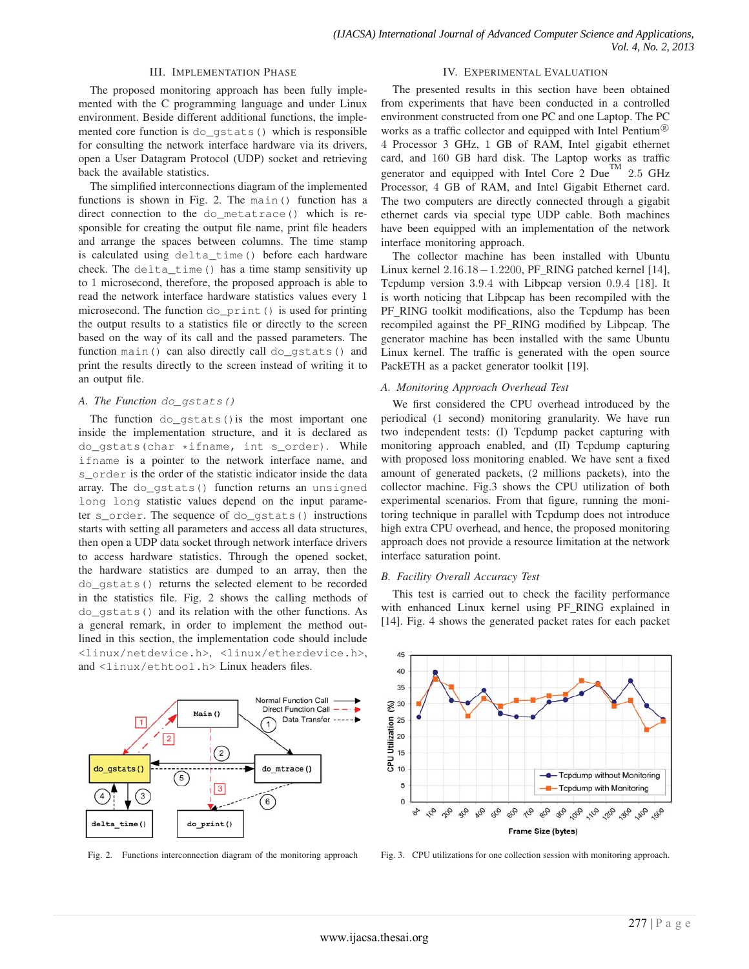## III. IMPLEMENTATION PHASE

IV. EXPERIMENTAL EVALUATION

The proposed monitoring approach has been fully implemented with the C programming language and under Linux environment. Beside different additional functions, the implemented core function is do\_gstats() which is responsible for consulting the network interface hardware via its drivers, open a User Datagram Protocol (UDP) socket and retrieving back the available statistics.

The simplified interconnections diagram of the implemented functions is shown in Fig. 2. The main() function has a direct connection to the do\_metatrace() which is responsible for creating the output file name, print file headers and arrange the spaces between columns. The time stamp is calculated using delta\_time() before each hardware check. The delta\_time() has a time stamp sensitivity up to 1 microsecond, therefore, the proposed approach is able to read the network interface hardware statistics values every 1 microsecond. The function do\_print() is used for printing the output results to a statistics file or directly to the screen based on the way of its call and the passed parameters. The function main() can also directly call do\_qstats() and print the results directly to the screen instead of writing it to an output file.

## *A. The Function* do\_gstats()

The function  $do_{gstats}$  () is the most important one inside the implementation structure, and it is declared as do\_gstats(char \*ifname, int s\_order). While ifname is a pointer to the network interface name, and s\_order is the order of the statistic indicator inside the data array. The do\_gstats() function returns an unsigned long long statistic values depend on the input parameter s\_order. The sequence of do\_gstats() instructions starts with setting all parameters and access all data structures, then open a UDP data socket through network interface drivers to access hardware statistics. Through the opened socket, the hardware statistics are dumped to an array, then the do\_gstats() returns the selected element to be recorded in the statistics file. Fig. 2 shows the calling methods of do\_gstats() and its relation with the other functions. As a general remark, in order to implement the method outlined in this section, the implementation code should include <linux/netdevice.h>, <linux/etherdevice.h>, and <linux/ethtool.h> Linux headers files.



Fig. 2. Functions interconnection diagram of the monitoring approach

The presented results in this section have been obtained from experiments that have been conducted in a controlled environment constructed from one PC and one Laptop. The PC works as a traffic collector and equipped with Intel Pentium<sup>(8)</sup> 4 Processor 3 GHz, 1 GB of RAM, Intel gigabit ethernet card, and 160 GB hard disk. The Laptop works as traffic generator and equipped with Intel Core  $2$  Due<sup>TM</sup> 2.5 GHz Processor, 4 GB of RAM, and Intel Gigabit Ethernet card. The two computers are directly connected through a gigabit ethernet cards via special type UDP cable. Both machines have been equipped with an implementation of the network interface monitoring approach.

The collector machine has been installed with Ubuntu Linux kernel 2.16.18−1.2200, PF RING patched kernel [14], Tcpdump version 3.9.4 with Libpcap version 0.9.4 [18]. It is worth noticing that Libpcap has been recompiled with the PF\_RING toolkit modifications, also the Tcpdump has been recompiled against the PF RING modified by Libpcap. The generator machine has been installed with the same Ubuntu Linux kernel. The traffic is generated with the open source PackETH as a packet generator toolkit [19].

## *A. Monitoring Approach Overhead Test*

We first considered the CPU overhead introduced by the periodical (1 second) monitoring granularity. We have run two independent tests: (I) Tcpdump packet capturing with monitoring approach enabled, and (II) Tcpdump capturing with proposed loss monitoring enabled. We have sent a fixed amount of generated packets, (2 millions packets), into the collector machine. Fig.3 shows the CPU utilization of both experimental scenarios. From that figure, running the monitoring technique in parallel with Tcpdump does not introduce high extra CPU overhead, and hence, the proposed monitoring approach does not provide a resource limitation at the network interface saturation point.

## *B. Facility Overall Accuracy Test*

This test is carried out to check the facility performance with enhanced Linux kernel using PF RING explained in [14]. Fig. 4 shows the generated packet rates for each packet



Fig. 3. CPU utilizations for one collection session with monitoring approach.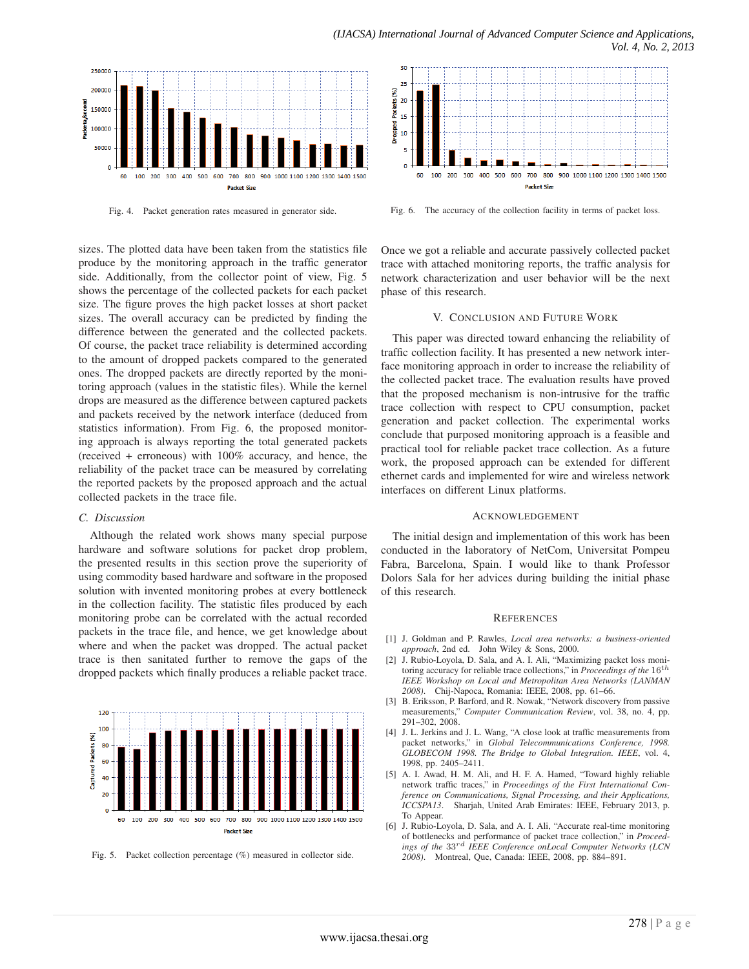

Fig. 4. Packet generation rates measured in generator side.

sizes. The plotted data have been taken from the statistics file produce by the monitoring approach in the traffic generator side. Additionally, from the collector point of view, Fig. 5 shows the percentage of the collected packets for each packet size. The figure proves the high packet losses at short packet sizes. The overall accuracy can be predicted by finding the difference between the generated and the collected packets. Of course, the packet trace reliability is determined according to the amount of dropped packets compared to the generated ones. The dropped packets are directly reported by the monitoring approach (values in the statistic files). While the kernel drops are measured as the difference between captured packets and packets received by the network interface (deduced from statistics information). From Fig. 6, the proposed monitoring approach is always reporting the total generated packets (received + erroneous) with 100% accuracy, and hence, the reliability of the packet trace can be measured by correlating the reported packets by the proposed approach and the actual collected packets in the trace file.

#### *C. Discussion*

Although the related work shows many special purpose hardware and software solutions for packet drop problem, the presented results in this section prove the superiority of using commodity based hardware and software in the proposed solution with invented monitoring probes at every bottleneck in the collection facility. The statistic files produced by each monitoring probe can be correlated with the actual recorded packets in the trace file, and hence, we get knowledge about where and when the packet was dropped. The actual packet trace is then sanitated further to remove the gaps of the dropped packets which finally produces a reliable packet trace.



Fig. 5. Packet collection percentage (%) measured in collector side.



Fig. 6. The accuracy of the collection facility in terms of packet loss.

Once we got a reliable and accurate passively collected packet trace with attached monitoring reports, the traffic analysis for network characterization and user behavior will be the next phase of this research.

#### V. CONCLUSION AND FUTURE WORK

This paper was directed toward enhancing the reliability of traffic collection facility. It has presented a new network interface monitoring approach in order to increase the reliability of the collected packet trace. The evaluation results have proved that the proposed mechanism is non-intrusive for the traffic trace collection with respect to CPU consumption, packet generation and packet collection. The experimental works conclude that purposed monitoring approach is a feasible and practical tool for reliable packet trace collection. As a future work, the proposed approach can be extended for different ethernet cards and implemented for wire and wireless network interfaces on different Linux platforms.

#### ACKNOWLEDGEMENT

The initial design and implementation of this work has been conducted in the laboratory of NetCom, Universitat Pompeu Fabra, Barcelona, Spain. I would like to thank Professor Dolors Sala for her advices during building the initial phase of this research.

#### **REFERENCES**

- [1] J. Goldman and P. Rawles, *Local area networks: a business-oriented approach*, 2nd ed. John Wiley & Sons, 2000.
- [2] J. Rubio-Loyola, D. Sala, and A. I. Ali, "Maximizing packet loss monitoring accuracy for reliable trace collections," in *Proceedings of the* 16<sup>th</sup> *IEEE Workshop on Local and Metropolitan Area Networks (LANMAN 2008)*. Chij-Napoca, Romania: IEEE, 2008, pp. 61–66.
- [3] B. Eriksson, P. Barford, and R. Nowak, "Network discovery from passive measurements," *Computer Communication Review*, vol. 38, no. 4, pp. 291–302, 2008.
- [4] J. L. Jerkins and J. L. Wang, "A close look at traffic measurements from packet networks," in *Global Telecommunications Conference, 1998. GLOBECOM 1998. The Bridge to Global Integration. IEEE*, vol. 4, 1998, pp. 2405–2411.
- [5] A. I. Awad, H. M. Ali, and H. F. A. Hamed, "Toward highly reliable network traffic traces," in *Proceedings of the First International Conference on Communications, Signal Processing, and their Applications, ICCSPA13*. Sharjah, United Arab Emirates: IEEE, February 2013, p. To Appear.
- [6] J. Rubio-Loyola, D. Sala, and A. I. Ali, "Accurate real-time monitoring of bottlenecks and performance of packet trace collection," in *Proceedings of the* 33rd *IEEE Conference onLocal Computer Networks (LCN 2008)*. Montreal, Que, Canada: IEEE, 2008, pp. 884–891.